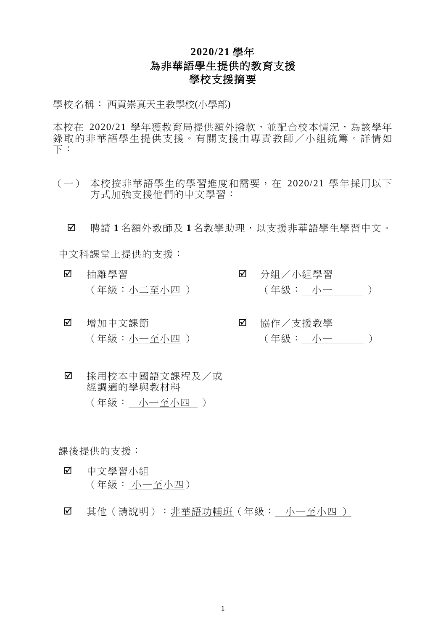## **2020/21** 學年 為非華語學生提供的教育支援 學校支援摘要

學校名稱: 西貢崇真天主教學校(小學部)

本校在 2020/21 學年獲教育局提供額外撥款,並配合校本情況,為該學年 錄取的非華語學生提供支援。有關支援由專責教師/小組統籌。詳情如  $\top$ :

(一) 本校按非華語學生的學習進度和需要,在 2020/21 學年採用以下 方式加強支援他們的中文學習:

聘請 **1** 名額外教師及 **1** 名教學助理,以支援非華語學生學習中文。

中文科課堂上提供的支援:

- 抽離學習 (年級:小二至小四 )
- 分組/小組學習 (年級: 小一 )
- 增加中文課節 (年級:小一至小四 )
- 協作/支援教學 (年級: 小一 )
- 採用校本中國語文課程及/或 經調適的學與教材料 (年級: 小一至小四 )

課後提供的支援:

- 中文學習小組 (年級: 小一至小四)
- 其他(請說明):非華語功輔班(年級: 小一至小四 )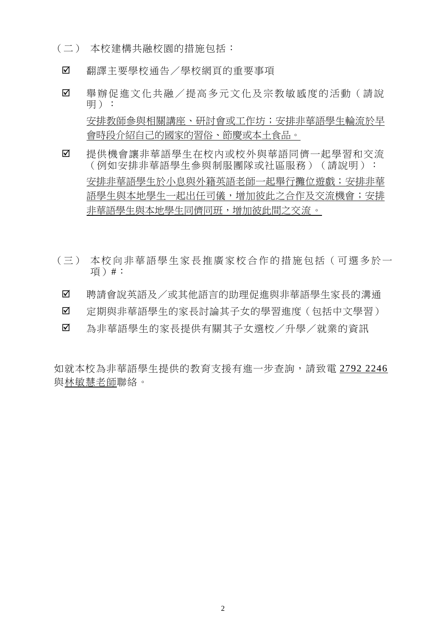- (二) 本校建構共融校園的措施包括︰
- 翻譯主要學校通告/學校網頁的重要事項
- ☑ 舉辦促進文化共融/提高多元文化及宗教敏感度的活動(請說 明): 安排教師參與相關講座、研討會或工作坊;安排非華語學生輪流於早 會時段介紹自己的國家的習俗、節慶或本土食品。
- ☑ 提供機會讓非華語學生在校內或校外與華語同儕一起學習和交流 (例如安排非華語學生參與制服團隊或社區服務)(請說明): 安排非華語學生於小息與外籍英語老師一起舉行攤位遊戲;安排非華 語學生與本地學生一起出任司儀,增加彼此之合作及交流機會;安排 非華語學生與本地學生同儕同班,增加彼此間之交流。
- (三) 本校向非華語學生家長推廣家校合作的措施包括(可選多於一 項)#:
- 聘請會說英語及/或其他語言的助理促進與非華語學生家長的溝通
- ☑ 定期與非華語學生的家長討論其子女的學習進度(包括中文學習)
- 為非華語學生的家長提供有關其子女選校/升學/就業的資訊

如就本校為非華語學生提供的教育支援有進一步查詢,請致電 2792 2246 與林敏慧老師聯絡。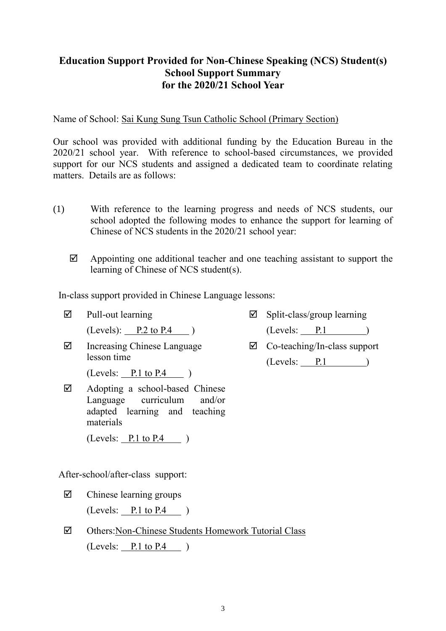## **Education Support Provided for Non-Chinese Speaking (NCS) Student(s) School Support Summary for the 2020/21 School Year**

Name of School: Sai Kung Sung Tsun Catholic School (Primary Section)

Our school was provided with additional funding by the Education Bureau in the 2020/21 school year. With reference to school-based circumstances, we provided support for our NCS students and assigned a dedicated team to coordinate relating matters. Details are as follows:

- (1) With reference to the learning progress and needs of NCS students, our school adopted the following modes to enhance the support for learning of Chinese of NCS students in the 2020/21 school year:
	- $\boxtimes$  Appointing one additional teacher and one teaching assistant to support the learning of Chinese of NCS student(s).

In-class support provided in Chinese Language lessons:

- $\nabla$  Pull-out learning  $(Levels):$  P.2 to P.4 )  $\boxtimes$  Increasing Chinese Language
- lesson time

 $(Levels: P.1 to P.4)$ 

 $\boxtimes$  Adopting a school-based Chinese Language curriculum and/or adapted learning and teaching materials

 $(Levels: P.1 to P.4)$ 

After-school/after-class support:

- $\boxtimes$  Chinese learning groups  $(Levels: P.1 to P.4)$
- Others:Non-Chinese Students Homework Tutorial Class  $(Levels: P.1 to P.4)$
- $\boxtimes$  Split-class/group learning (Levels: P.1 )
- $\boxtimes$  Co-teaching/In-class support  $(Levels: P.1)$